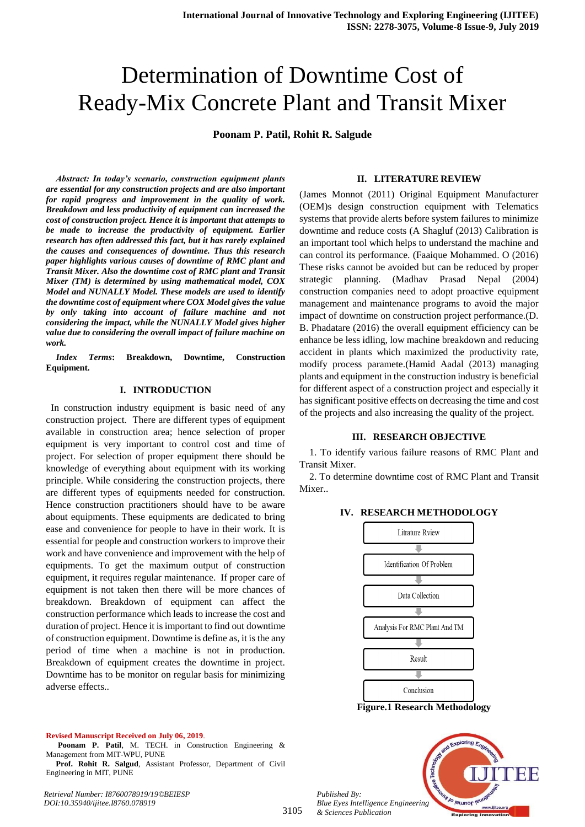## Determination of Downtime Cost of Ready-Mix Concrete Plant and Transit Mixer

**Poonam P. Patil, Rohit R. Salgude** 

*Abstract: In today's scenario, construction equipment plants are essential for any construction projects and are also important for rapid progress and improvement in the quality of work. Breakdown and less productivity of equipment can increased the cost of construction project. Hence it is important that attempts to be made to increase the productivity of equipment. Earlier research has often addressed this fact, but it has rarely explained the causes and consequences of downtime. Thus this research paper highlights various causes of downtime of RMC plant and Transit Mixer. Also the downtime cost of RMC plant and Transit Mixer (TM) is determined by using mathematical model, COX Model and NUNALLY Model. These models are used to identify the downtime cost of equipment where COX Model gives the value by only taking into account of failure machine and not considering the impact, while the NUNALLY Model gives higher value due to considering the overall impact of failure machine on work.* 

*Index Terms***: Breakdown, Downtime, Construction Equipment.** 

#### **I. INTRODUCTION**

 In construction industry equipment is basic need of any construction project. There are different types of equipment available in construction area; hence selection of proper equipment is very important to control cost and time of project. For selection of proper equipment there should be knowledge of everything about equipment with its working principle. While considering the construction projects, there are different types of equipments needed for construction. Hence construction practitioners should have to be aware about equipments. These equipments are dedicated to bring ease and convenience for people to have in their work. It is essential for people and construction workers to improve their work and have convenience and improvement with the help of equipments. To get the maximum output of construction equipment, it requires regular maintenance. If proper care of equipment is not taken then there will be more chances of breakdown. Breakdown of equipment can affect the construction performance which leads to increase the cost and duration of project. Hence it is important to find out downtime of construction equipment. Downtime is define as, it is the any period of time when a machine is not in production. Breakdown of equipment creates the downtime in project. Downtime has to be monitor on regular basis for minimizing adverse effects..

#### **II. LITERATURE REVIEW**

(James Monnot (2011) Original Equipment Manufacturer (OEM)s design construction equipment with Telematics systems that provide alerts before system failures to minimize downtime and reduce costs (A Shagluf (2013) Calibration is an important tool which helps to understand the machine and can control its performance. (Faaique Mohammed. O (2016) These risks cannot be avoided but can be reduced by proper strategic planning. (Madhav Prasad Nepal (2004) construction companies need to adopt proactive equipment management and maintenance programs to avoid the major impact of downtime on construction project performance.(D. B. Phadatare (2016) the overall equipment efficiency can be enhance be less idling, low machine breakdown and reducing accident in plants which maximized the productivity rate, modify process paramete.(Hamid Aadal (2013) managing plants and equipment in the construction industry is beneficial for different aspect of a construction project and especially it has significant positive effects on decreasing the time and cost of the projects and also increasing the quality of the project.

#### **III. RESEARCH OBJECTIVE**

1. To identify various failure reasons of RMC Plant and Transit Mixer.

2. To determine downtime cost of RMC Plant and Transit **Mixer** 

**IV. RESEARCH METHODOLOGY**



**Figure.1 Research Methodology**

# Jo reumor *Blue Eyes Intelligence Engineering*

#### **Revised Manuscript Received on July 06, 2019**.

- **Poonam P. Patil**, M. TECH. in Construction Engineering & Management from MIT-WPU, PUNE
- **Prof. Rohit R. Salgud**, Assistant Professor, Department of Civil Engineering in MIT, PUNE

*Retrieval Number: I8760078919/19©BEIESP DOI:10.35940/ijitee.I8760.078919*

*Published By:*

*& Sciences Publication*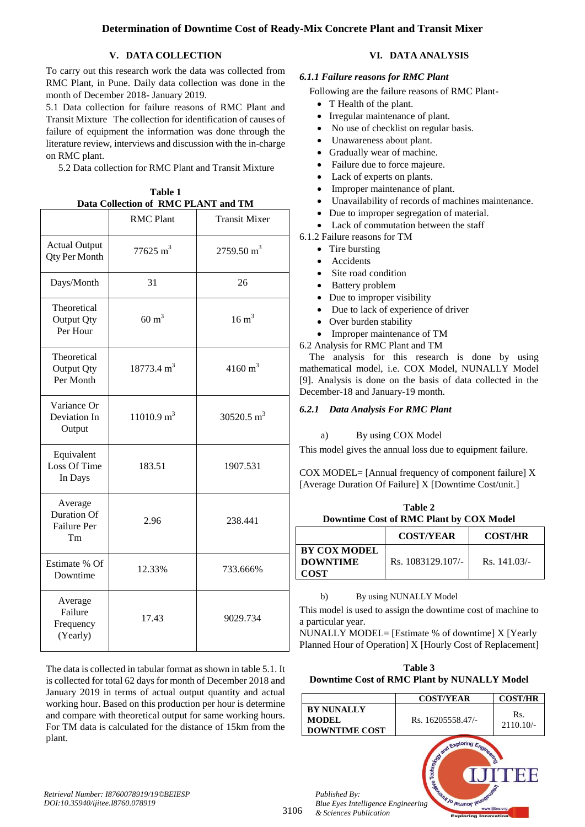#### **Determination of Downtime Cost of Ready-Mix Concrete Plant and Transit Mixer**

#### **V. DATA COLLECTION**

To carry out this research work the data was collected from RMC Plant, in Pune. Daily data collection was done in the month of December 2018- January 2019.

5.1 Data collection for failure reasons of RMC Plant and Transit Mixture The collection for identification of causes of failure of equipment the information was done through the literature review, interviews and discussion with the in-charge on RMC plant.

5.2 Data collection for RMC Plant and Transit Mixture

| Data Collection of RMC PLANT and TM                       |                       |                       |  |
|-----------------------------------------------------------|-----------------------|-----------------------|--|
|                                                           | <b>RMC Plant</b>      | <b>Transit Mixer</b>  |  |
| <b>Actual Output</b><br><b>Qty Per Month</b>              | $77625 \text{ m}^3$   | $2759.50 \text{ m}^3$ |  |
| Days/Month                                                | 31                    | 26                    |  |
| Theoretical<br>Output Qty<br>Per Hour                     | $60 \text{ m}^3$      | $16 \text{ m}^3$      |  |
| Theoretical<br>Output Qty<br>Per Month                    | $18773.4 \text{ m}^3$ | $4160 \text{ m}^3$    |  |
| Variance Or<br>Deviation In<br>Output                     | $11010.9 \text{ m}^3$ | 30520.5 $m^3$         |  |
| Equivalent<br>Loss Of Time<br>In Days                     | 183.51                | 1907.531              |  |
| Average<br><b>Duration Of</b><br><b>Failure Per</b><br>Tm | 2.96                  | 238.441               |  |
| Estimate % Of<br>Downtime                                 | 12.33%                | 733.666%              |  |
| Average<br>Failure<br>Frequency<br>(Yearly)               | 17.43                 | 9029.734              |  |

**Table 1**

The data is collected in tabular format as shown in table 5.1. It is collected for total 62 days for month of December 2018 and January 2019 in terms of actual output quantity and actual working hour. Based on this production per hour is determine and compare with theoretical output for same working hours. For TM data is calculated for the distance of 15km from the plant.

#### **VI. DATA ANALYSIS**

#### *6.1.1 Failure reasons for RMC Plant*

Following are the failure reasons of RMC Plant-

- T Health of the plant.
- Irregular maintenance of plant.
- No use of checklist on regular basis.
- Unawareness about plant.
- Gradually wear of machine.
- Failure due to force majeure.
- Lack of experts on plants.
- Improper maintenance of plant.
- Unavailability of records of machines maintenance.
- Due to improper segregation of material.
- Lack of commutation between the staff
- 6.1.2 Failure reasons for TM
	- Tire bursting
	- Accidents
	- Site road condition
	- Battery problem
	- Due to improper visibility
	- Due to lack of experience of driver
	- Over burden stability
	- Improper maintenance of TM

6.2 Analysis for RMC Plant and TM

The analysis for this research is done by using mathematical model, i.e. COX Model, NUNALLY Model [9]. Analysis is done on the basis of data collected in the December-18 and January-19 month.

#### *6.2.1 Data Analysis For RMC Plant*

#### a) By using COX Model

This model gives the annual loss due to equipment failure.

COX MODEL= [Annual frequency of component failure] X [Average Duration Of Failure] X [Downtime Cost/unit.]

| Table 2                                 |
|-----------------------------------------|
| Downtime Cost of RMC Plant by COX Model |

|                                                       | <b>COST/YEAR</b>  | <b>COST/HR</b> |
|-------------------------------------------------------|-------------------|----------------|
| <b>BY COX MODEL</b><br><b>DOWNTIME</b><br><b>COST</b> | Rs. 1083129.107/- | Rs. 141.03/    |

#### b) By using NUNALLY Model

This model is used to assign the downtime cost of machine to a particular year.

NUNALLY MODEL= [Estimate % of downtime] X [Yearly Planned Hour of Operation] X [Hourly Cost of Replacement]

**Table 3 Downtime Cost of RMC Plant by NUNALLY Model**

|                                                            | <b>COST/YEAR</b>                     | <b>COST/HR</b>     |
|------------------------------------------------------------|--------------------------------------|--------------------|
| <b>BY NUNALLY</b><br><b>MODEL</b><br><b>DOWNTIME COST</b>  | Rs. 16205558.47/-                    | Rs.<br>$2110.10/-$ |
| Published By:<br><b>Blue Eyes Intelligence Engineering</b> | <b>SAN ART EXPLORING ENGINEERING</b> |                    |

**Exploring Innovati** 

*Retrieval Number: I8760078919/19©BEIESP DOI:10.35940/ijitee.I8760.078919*

3106

*& Sciences Publication*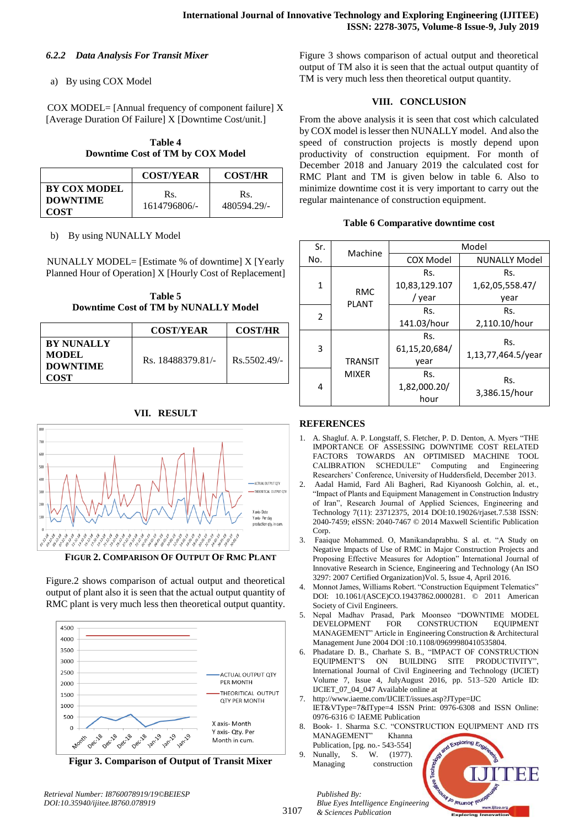#### *6.2.2 Data Analysis For Transit Mixer*

#### a) By using COX Model

COX MODEL= [Annual frequency of component failure] X [Average Duration Of Failure] X [Downtime Cost/unit.]

> **Table 4 Downtime Cost of TM by COX Model**

|                                                       | <b>COST/YEAR</b>    | <b>COST/HR</b>     |
|-------------------------------------------------------|---------------------|--------------------|
| <b>BY COX MODEL</b><br><b>DOWNTIME</b><br><b>COST</b> | Rs.<br>1614796806/- | Rs.<br>480594.29/- |

b) By using NUNALLY Model

NUNALLY MODEL= [Estimate % of downtime] X [Yearly Planned Hour of Operation] X [Hourly Cost of Replacement]

**Table 5 Downtime Cost of TM by NUNALLY Model**

|                                                                     | <b>COST/YEAR</b>  | <b>COST/HR</b> |
|---------------------------------------------------------------------|-------------------|----------------|
| <b>BY NUNALLY</b><br><b>MODEL</b><br><b>DOWNTIME</b><br><b>COST</b> | Rs. 18488379.81/- | $Rs.5502.49/-$ |

### **VII. RESULT**



**FIGUR 2. COMPARISON OF OUTPUT OF RMC PLANT**

Figure.2 shows comparison of actual output and theoretical output of plant also it is seen that the actual output quantity of RMC plant is very much less then theoretical output quantity.



**Figur 3. Comparison of Output of Transit Mixer**

Figure 3 shows comparison of actual output and theoretical output of TM also it is seen that the actual output quantity of TM is very much less then theoretical output quantity.

#### **VIII. CONCLUSION**

From the above analysis it is seen that cost which calculated by COX model is lesser then NUNALLY model. And also the speed of construction projects is mostly depend upon productivity of construction equipment. For month of December 2018 and January 2019 the calculated cost for RMC Plant and TM is given below in table 6. Also to minimize downtime cost it is very important to carry out the regular maintenance of construction equipment.

|  | <b>Table 6 Comparative downtime cost</b> |  |  |
|--|------------------------------------------|--|--|
|--|------------------------------------------|--|--|

| Sr. | Machine                        | Model         |                      |  |
|-----|--------------------------------|---------------|----------------------|--|
| No. |                                | COX Model     | <b>NUNALLY Model</b> |  |
| 1   | <b>RMC</b><br><b>PLANT</b>     | Rs.           | Rs.                  |  |
|     |                                | 10,83,129.107 | 1,62,05,558.47/      |  |
|     |                                | / year        | year                 |  |
|     | $\overline{2}$                 | Rs.           | Rs.                  |  |
|     |                                | 141.03/hour   | 2,110.10/hour        |  |
| 3   | <b>TRANSIT</b><br><b>MIXER</b> | Rs.           | Rs.                  |  |
|     |                                | 61,15,20,684/ | 1,13,77,464.5/year   |  |
|     |                                | year          |                      |  |
| 4   |                                | Rs.           | Rs.                  |  |
|     |                                | 1,82,000.20/  | 3,386.15/hour        |  |
|     |                                | hour          |                      |  |

#### **REFERENCES**

- 1. A. Shagluf. A. P. Longstaff, S. Fletcher, P. D. Denton, A. Myers "THE IMPORTANCE OF ASSESSING DOWNTIME COST RELATED FACTORS TOWARDS AN OPTIMISED MACHINE TOOL CALIBRATION SCHEDULE" Computing and Engineering Researchers' Conference, University of Huddersfield, December 2013.
- 2. Aadal Hamid, Fard Ali Bagheri, Rad Kiyanoosh Golchin, al. et., "Impact of Plants and Equipment Management in Construction Industry of Iran", Research Journal of Applied Sciences, Engineering and Technology 7(11): 23712375, 2014 DOI:10.19026/rjaset.7.538 ISSN: 2040-7459; eISSN: 2040-7467 © 2014 Maxwell Scientific Publication Corp.
- 3. Faaique Mohammed. O, Manikandaprabhu. S al. et. "A Study on Negative Impacts of Use of RMC in Major Construction Projects and Proposing Effective Measures for Adoption" International Journal of Innovative Research in Science, Engineering and Technology (An ISO 3297: 2007 Certified Organization)Vol. 5, Issue 4, April 2016.
- 4. Monnot James, Williams Robert. "Construction Equipment Telematics" DOI: 10.1061/(ASCE)CO.19437862.0000281. © 2011 American Society of Civil Engineers.
- 5. Nepal Madhav Prasad, Park Moonseo "DOWNTIME MODEL DEVELOPMENT FOR CONSTRUCTION EQUIPMENT MANAGEMENT" Article in Engineering Construction & Architectural Management June 2004 DOI :10.1108/09699980410535804.
- 6. Phadatare D. B., Charhate S. B., "IMPACT OF CONSTRUCTION EQUIPMENT'S ON BUILDING SITE PRODUCTIVITY" International Journal of Civil Engineering and Technology (IJCIET) Volume 7, Issue 4, JulyAugust 2016, pp. 513–520 Article ID: IJCIET\_07\_04\_047 Available online at
- 7. http://www.iaeme.com/IJCIET/issues.asp?JType=IJC IET&VType=7&IType=4 ISSN Print: 0976-6308 and ISSN Online: 0976-6316 © IAEME Publication
- 8. Book- 1. Sharma S.C. "CONSTRUCTION EQUIPMENT AND ITS MANAGEMENT" Khanna
- Publication, [pg. no.- 543-554] Nunally, S. W. (1977). Managing construction

*& Sciences Publication* 

*Published By:*



3107